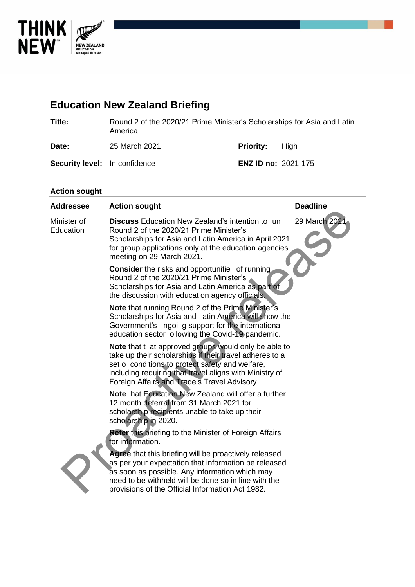

# **Education New Zealand Briefing**

| Title: | Round 2 of the 2020/21 Prime Minister's Scholarships for Asia and Latin |
|--------|-------------------------------------------------------------------------|
|        | America                                                                 |
|        |                                                                         |

Date: 25 March 2021 **Priority:** High

**Security level:** In confidence **ENZ ID no:** 2021-175

# **Action sought**

| <b>Addressee</b>         | <b>Action sought</b>                                                                                                                                                                                                                                                          | <b>Deadline</b> |
|--------------------------|-------------------------------------------------------------------------------------------------------------------------------------------------------------------------------------------------------------------------------------------------------------------------------|-----------------|
| Minister of<br>Education | <b>Discuss</b> Education New Zealand's intention to un<br>Round 2 of the 2020/21 Prime Minister's<br>Scholarships for Asia and Latin America in April 2021<br>for group applications only at the education agencies<br>meeting on 29 March 2021.                              | 29 March 2021   |
|                          | <b>Consider</b> the risks and opportunitie of running<br>Round 2 of the 2020/21 Prime Minister's<br>Scholarships for Asia and Latin America as part of<br>the discussion with educat on agency officials.                                                                     |                 |
|                          | <b>Note that running Round 2 of the Prime Minister's</b><br>Scholarships for Asia and atin America will show the<br>Government's ngoi g support for the international<br>education sector ollowing the Covid-19 pandemic.                                                     |                 |
|                          | Note that t at approved groups would only be able to<br>take up their scholarships if their travel adheres to a<br>set o cond tions to protect safety and welfare,<br>including requiring that travel aligns with Ministry of<br>Foreign Affairs and Trade's Travel Advisory. |                 |
|                          | Note hat Education New Zealand will offer a further<br>12 month deferral from 31 March 2021 for<br>scholarship recipients unable to take up their<br>scholarship in 2020.                                                                                                     |                 |
|                          | <b>Refer this briefing to the Minister of Foreign Affairs</b><br>for information.                                                                                                                                                                                             |                 |
|                          | Agree that this briefing will be proactively released<br>as per your expectation that information be released<br>as soon as possible. Any information which may<br>need to be withheld will be done so in line with the<br>provisions of the Official Information Act 1982.   |                 |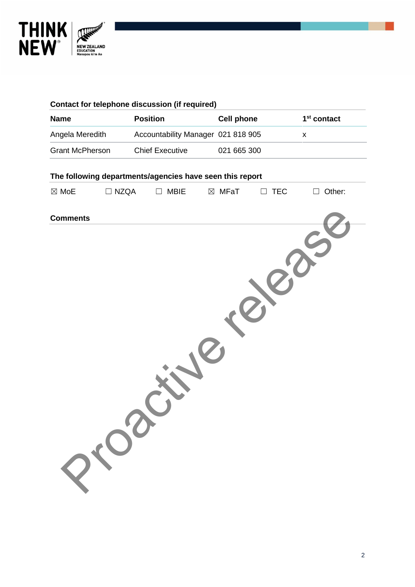

|                        |             | <b>Contact for telephone discussion (if required)</b>    |                   |            |                         |
|------------------------|-------------|----------------------------------------------------------|-------------------|------------|-------------------------|
| <b>Name</b>            |             | <b>Position</b>                                          | <b>Cell phone</b> |            | 1 <sup>st</sup> contact |
| Angela Meredith        |             | Accountability Manager 021 818 905                       |                   |            | $\pmb{\mathsf{x}}$      |
| <b>Grant McPherson</b> |             | <b>Chief Executive</b>                                   | 021 665 300       |            |                         |
|                        |             | The following departments/agencies have seen this report |                   |            |                         |
| $\boxtimes$ MoE        | $\Box$ NZQA | <b>MBIE</b><br>$\Box$                                    | $\boxtimes$ MFaT  | $\Box$ TEC | Other:<br>$\Box$        |
| <b>Comments</b>        |             |                                                          |                   |            |                         |
|                        |             |                                                          |                   |            |                         |
|                        |             |                                                          |                   |            |                         |
|                        |             |                                                          |                   |            |                         |
|                        |             |                                                          |                   |            |                         |
|                        |             |                                                          |                   |            |                         |
|                        |             |                                                          |                   |            |                         |
|                        |             |                                                          |                   |            |                         |
|                        |             |                                                          |                   |            |                         |
|                        |             |                                                          |                   |            |                         |
|                        |             |                                                          |                   |            |                         |
|                        |             |                                                          |                   |            |                         |
|                        |             |                                                          |                   |            |                         |
|                        | Prop        |                                                          |                   |            |                         |
|                        |             |                                                          |                   |            |                         |
|                        |             |                                                          |                   |            |                         |
|                        |             |                                                          |                   |            |                         |
|                        |             |                                                          |                   |            |                         |
|                        |             |                                                          |                   |            |                         |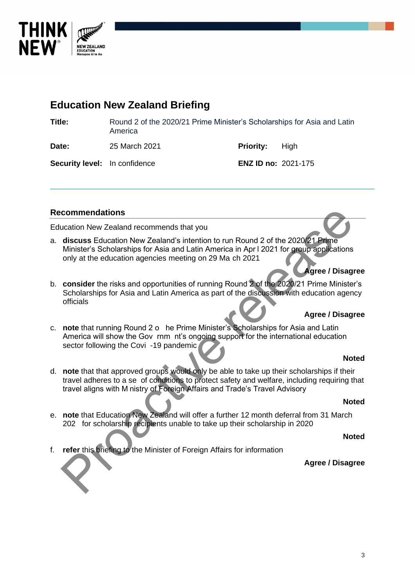

# **Education New Zealand Briefing**

**Title:** Round 2 of the 2020/21 Prime Minister's Scholarships for Asia and Latin America

**Date:** 25 March 2021 **Priority:** High

**Security level:** In confidence **ENZ ID no:** 2021-175

## **Recommendations**

Education New Zealand recommends that you

a. **discuss** Education New Zealand's intention to run Round 2 of the 2020/21 Prime Minister's Scholarships for Asia and Latin America in Apr l 2021 for group applications only at the education agencies meeting on 29 Ma ch 2021

## **Agree / Disagree**

b. **consider** the risks and opportunities of running Round 2 of the 2020/21 Prime Minister's Scholarships for Asia and Latin America as part of the discussion with education agency officials

## **Agree / Disagree**

c. **note** that running Round 2 o he Prime Minister's Scholarships for Asia and Latin America will show the Gov rnm nt's ongoing support for the international education sector following the Covi -19 pandemic

### **Noted**

d. **note** that that approved groups would only be able to take up their scholarships if their travel adheres to a se of conditions to protect safety and welfare, including requiring that travel aligns with M nistry of Foreign Affairs and Trade's Travel Advisory commendations<br>
accition New Zealand's intention to run Round 2 of the 2020/21 Prime<br>
discuss Education New Zealand's intention to run Round 2 of the 2020/21 Prime<br>
Minister's Scholarships for Asia and Latin America in Apr

#### **Noted**

e. **note** that Education New Zealand will offer a further 12 month deferral from 31 March 202 for scholarship recipients unable to take up their scholarship in 2020

#### **Noted**

f. **refer** this briefing to the Minister of Foreign Affairs for information

### **Agree / Disagree**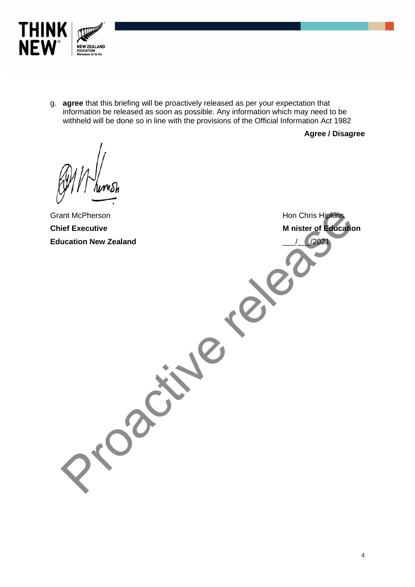

g. **agree** that this briefing will be proactively released as per your expectation that information be released as soon as possible. Any information which may need to be withheld will be done so in line with the provisions of the Official Information Act 1982

**Agree / Disagree**

Grant McPherson **Chief Executive Education New Zealand** Hon Chris Hipkins **M nister of Education** \_\_\_/\_\_\_/2021 Hon Chris Highting<br>
Liet Executive<br>
United Fraction New Zealand<br>
Minister of Education<br>
Minister of Education<br>
Minister of Education<br>
Minister of Education<br>
Minister of Education<br>
Minister of Education<br>
Minister of Educati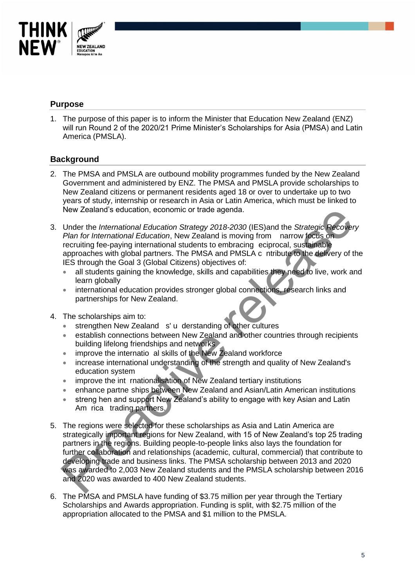

## **Purpose**

1. The purpose of this paper is to inform the Minister that Education New Zealand (ENZ) will run Round 2 of the 2020/21 Prime Minister's Scholarships for Asia (PMSA) and Latin America (PMSLA).

## **Background**

- 2. The PMSA and PMSLA are outbound mobility programmes funded by the New Zealand Government and administered by ENZ. The PMSA and PMSLA provide scholarships to New Zealand citizens or permanent residents aged 18 or over to undertake up to two years of study, internship or research in Asia or Latin America, which must be linked to New Zealand's education, economic or trade agenda.
- 3. Under the *International Education Strategy 2018-2030* (IES)and the *Strategic Recovery Plan for International Education*, New Zealand is moving from narrow focus on recruiting fee-paying international students to embracing eciprocal, sustainable approaches with global partners. The PMSA and PMSLA c ntribute to the delivery of the IES through the Goal 3 (Global Citizens) objectives of:
	- all students gaining the knowledge, skills and capabilities they need to live, work and learn globally
	- international education provides stronger global connections, research links and partnerships for New Zealand.
- 4. The scholarships aim to:
	- strengthen New Zealand s' u derstanding of other cultures
	- establish connections between New Zealand and other countries through recipients building lifelong friendships and networks
	- improve the internatio al skills of the New Zealand workforce
	- increase international understanding of the strength and quality of New Zealand's education system
	- improve the int rnationalisation of New Zealand tertiary institutions
	- enhance partne ships between New Zealand and Asian/Latin American institutions
	- streng hen and support New Zealand's ability to engage with key Asian and Latin Am rica trading partners.
- 5. The regions were selected for these scholarships as Asia and Latin America are strategically important regions for New Zealand, with 15 of New Zealand's top 25 trading partners in the regions. Building people-to-people links also lays the foundation for further collaboration and relationships (academic, cultural, commercial) that contribute to developing trade and business links. The PMSA scholarship between 2013 and 2020 was awarded to 2,003 New Zealand students and the PMSLA scholarship between 2016 and 2020 was awarded to 400 New Zealand students. New Zealand seducation, economic or trade agenda.<br>
Under the International Education, New Zealand is moving from narrow focus on<br>
Pran for International Education, New Zealand is moving from narrow focus on<br>
recruiting fee
- 6. The PMSA and PMSLA have funding of \$3.75 million per year through the Tertiary Scholarships and Awards appropriation. Funding is split, with \$2.75 million of the appropriation allocated to the PMSA and \$1 million to the PMSLA.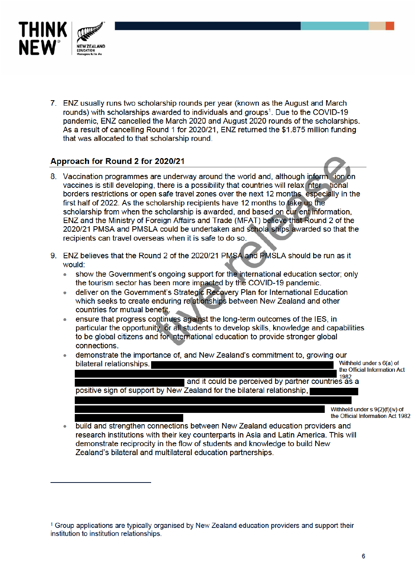

7. ENZ usually runs two scholarship rounds per year (known as the August and March rounds) with scholarships awarded to individuals and groups<sup>1</sup>. Due to the COVID-19 pandemic. ENZ cancelled the March 2020 and August 2020 rounds of the scholarships. As a result of cancelling Round 1 for 2020/21, ENZ returned the \$1.875 million funding that was allocated to that scholarship round.

## Approach for Round 2 for 2020/21

- 8. Vaccination programmes are underway around the world and, although inform (ion on vaccines is still developing, there is a possibility that countries will relax nter tional borders restrictions or open safe travel zones over the next 12 months especially in the first half of 2022. As the scholarship recipients have 12 months to take up the scholarship from when the scholarship is awarded, and based on cur ent information. ENZ and the Ministry of Foreign Affairs and Trade (MFAT) believe that Round 2 of the 2020/21 PMSA and PMSLA could be undertaken and schola ships awarded so that the recipients can travel overseas when it is safe to do so.
- 9. ENZ believes that the Round 2 of the 2020/21 PMSA and PMSLA should be run as it would:
	- show the Government's ongoing support for the international education sector; only  $\blacksquare$ the tourism sector has been more impacted by the COVID-19 pandemic.
	- deliver on the Government's Strategic Recovery Plan for International Education which seeks to create enduring reationships between New Zealand and other countries for mutual benefit.
	- ensure that progress continues against the long-term outcomes of the IES, in particular the opportunity or all students to develop skills, knowledge and capabilities to be global citizens and for nternational education to provide stronger global connections.
	- demonstrate the importance of, and New Zealand's commitment to, growing our Withheld under s 6(a) of bilateral relationships. the Official Information Act

1982 and it could be perceived by partner countries as a positive sign of support by New Zealand for the bilateral relationship,

> Withheld under s 9(2)(f)(iv) of the Official Information Act 1982

build and strengthen connections between New Zealand education providers and  $\blacksquare$ research institutions with their key counterparts in Asia and Latin America. This will demonstrate reciprocity in the flow of students and knowledge to build New Zealand's bilateral and multilateral education partnerships.

<sup>&</sup>lt;sup>1</sup> Group applications are typically organised by New Zealand education providers and support their institution to institution relationships.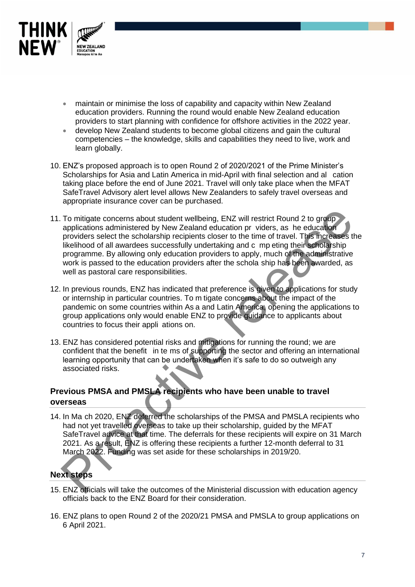

- maintain or minimise the loss of capability and capacity within New Zealand education providers. Running the round would enable New Zealand education providers to start planning with confidence for offshore activities in the 2022 year.
- develop New Zealand students to become global citizens and gain the cultural competencies – the knowledge, skills and capabilities they need to live, work and learn globally.
- 10. ENZ's proposed approach is to open Round 2 of 2020/2021 of the Prime Minister's Scholarships for Asia and Latin America in mid-April with final selection and al cation taking place before the end of June 2021. Travel will only take place when the MFAT SafeTravel Advisory alert level allows New Zealanders to safely travel overseas and appropriate insurance cover can be purchased.
- 11. To mitigate concerns about student wellbeing, ENZ will restrict Round 2 to group applications administered by New Zealand education pr viders, as he education providers select the scholarship recipients closer to the time of travel. This increases the likelihood of all awardees successfully undertaking and c mp eting their scholarship programme. By allowing only education providers to apply, much of the administrative work is passed to the education providers after the schola ship has been awarded, as well as pastoral care responsibilities. To mitigate concerns about student welltbeing, ENZ will restrict Round 2 to group<br>applications administered by New Zealand education prividers, as he education<br>providers select the scholarship recipients doser to the time
- 12. In previous rounds, ENZ has indicated that preference is given to applications for study or internship in particular countries. To m tigate concerns about the impact of the pandemic on some countries within As a and Latin America, opening the applications to group applications only would enable ENZ to provide guidance to applicants about countries to focus their appli ations on.
- 13. ENZ has considered potential risks and mitigations for running the round; we are confident that the benefit in te ms of supporting the sector and offering an international learning opportunity that can be undertaken when it's safe to do so outweigh any associated risks.

# **Previous PMSA and PMSLA recipients who have been unable to travel overseas**

14. In Ma ch 2020, ENZ deferred the scholarships of the PMSA and PMSLA recipients who had not yet travelled overseas to take up their scholarship, guided by the MFAT SafeTravel advice at that time. The deferrals for these recipients will expire on 31 March 2021. As a result, ENZ is offering these recipients a further 12-month deferral to 31 March 2022. Funding was set aside for these scholarships in 2019/20.



- 15. ENZ officials will take the outcomes of the Ministerial discussion with education agency officials back to the ENZ Board for their consideration.
- 16. ENZ plans to open Round 2 of the 2020/21 PMSA and PMSLA to group applications on 6 April 2021.